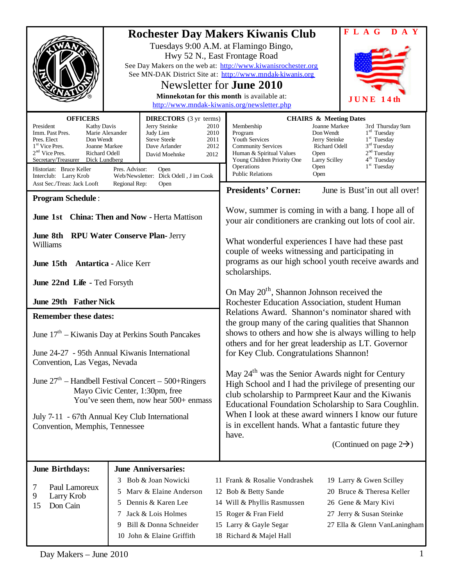|                                                                                                                                                                                                                        |                                                                                                                                                                                                                                                                                                                                          | <b>Rochester Day Makers Kiwanis Club</b>                                                                                                                                        |                                                                                                                                                                                                                                                                                                                                                                                                                                                                                                                                                                                                                                                                                                                                                                                     |                                                                                                                                            | <b>FLAG</b><br>D A Y                                                                                                                                                     |
|------------------------------------------------------------------------------------------------------------------------------------------------------------------------------------------------------------------------|------------------------------------------------------------------------------------------------------------------------------------------------------------------------------------------------------------------------------------------------------------------------------------------------------------------------------------------|---------------------------------------------------------------------------------------------------------------------------------------------------------------------------------|-------------------------------------------------------------------------------------------------------------------------------------------------------------------------------------------------------------------------------------------------------------------------------------------------------------------------------------------------------------------------------------------------------------------------------------------------------------------------------------------------------------------------------------------------------------------------------------------------------------------------------------------------------------------------------------------------------------------------------------------------------------------------------------|--------------------------------------------------------------------------------------------------------------------------------------------|--------------------------------------------------------------------------------------------------------------------------------------------------------------------------|
|                                                                                                                                                                                                                        |                                                                                                                                                                                                                                                                                                                                          | See Day Makers on the web at: http://www.kiwanisrochester.org<br>See MN-DAK District Site at: http://www.mndak-kiwanis.org                                                      | Tuesdays 9:00 A.M. at Flamingo Bingo,<br>Hwy 52 N., East Frontage Road<br>Newsletter for <b>June 2010</b><br>Minnekotan for this month is available at:<br>http://www.mndak-kiwanis.org/newsletter.php                                                                                                                                                                                                                                                                                                                                                                                                                                                                                                                                                                              |                                                                                                                                            | JUNE<br>14 th                                                                                                                                                            |
| <b>OFFICERS</b><br>President<br>Imm. Past Pres.<br>Pres. Elect<br>1 <sup>st</sup> Vice Pres.<br>$2nd$ Vice Pres.<br>Secretary/Treasurer<br>Historian: Bruce Keller<br>Interclub: Larry Krob                            | <b>DIRECTORS</b> (3 yr terms)<br>Jerry Steinke<br><b>Kathy Davis</b><br>2010<br>Marie Alexander<br>Judy Lien<br>2010<br>Don Wendt<br><b>Steve Steele</b><br>2011<br>Dave Arlander<br>2012<br>Joanne Markee<br>Richard Odell<br>David Moehnke<br>2012<br>Dick Lundberg<br>Pres. Advisor:<br>Open<br>Web/Newsletter: Dick Odell, J im Cook |                                                                                                                                                                                 | Membership<br>Program<br><b>Youth Services</b><br><b>Community Services</b><br>Human & Spiritual Values<br>Young Children Priority One<br>Operations<br><b>Public Relations</b>                                                                                                                                                                                                                                                                                                                                                                                                                                                                                                                                                                                                     | <b>CHAIRS &amp; Meeting Dates</b><br>Joanne Markee<br>Don Wendt<br>Jerry Steinke<br>Richard Odell<br>Open<br>Larry Scilley<br>Open<br>Open | 3rd Thursday 9am<br>$1rd$ Tuesday<br>1 <sup>st</sup> Tuesday<br>3 <sup>rd</sup> Tuesday<br>2 <sup>nd</sup> Tuesday<br>4 <sup>th</sup> Tuesday<br>1 <sup>st</sup> Tuesday |
| Asst Sec./Treas: Jack Looft<br>Regional Rep:<br>Open                                                                                                                                                                   |                                                                                                                                                                                                                                                                                                                                          |                                                                                                                                                                                 | <b>Presidents' Corner:</b>                                                                                                                                                                                                                                                                                                                                                                                                                                                                                                                                                                                                                                                                                                                                                          |                                                                                                                                            | June is Bust'in out all over!                                                                                                                                            |
| <b>Program Schedule:</b><br><b>June 1st</b> China: Then and Now - Herta Mattison                                                                                                                                       |                                                                                                                                                                                                                                                                                                                                          |                                                                                                                                                                                 | Wow, summer is coming in with a bang. I hope all of<br>your air conditioners are cranking out lots of cool air.                                                                                                                                                                                                                                                                                                                                                                                                                                                                                                                                                                                                                                                                     |                                                                                                                                            |                                                                                                                                                                          |
| <b>RPU Water Conserve Plan- Jerry</b><br><b>June 8th</b><br>Williams<br>June 15th Antartica - Alice Kerr                                                                                                               |                                                                                                                                                                                                                                                                                                                                          |                                                                                                                                                                                 | What wonderful experiences I have had these past<br>couple of weeks witnessing and participating in<br>programs as our high school youth receive awards and<br>scholarships.                                                                                                                                                                                                                                                                                                                                                                                                                                                                                                                                                                                                        |                                                                                                                                            |                                                                                                                                                                          |
| June 22nd Life - Ted Forsyth                                                                                                                                                                                           |                                                                                                                                                                                                                                                                                                                                          |                                                                                                                                                                                 | On May 20 <sup>th</sup> , Shannon Johnson received the<br>Rochester Education Association, student Human<br>Relations Award. Shannon's nominator shared with<br>the group many of the caring qualities that Shannon<br>shows to others and how she is always willing to help<br>others and for her great leadership as LT. Governor<br>for Key Club. Congratulations Shannon!<br>May 24 <sup>th</sup> was the Senior Awards night for Century<br>High School and I had the privilege of presenting our<br>club scholarship to Parmpreet Kaur and the Kiwanis<br>Educational Foundation Scholarship to Sara Coughlin.<br>When I look at these award winners I know our future<br>is in excellent hands. What a fantastic future they<br>have.<br>(Continued on page $2\rightarrow$ ) |                                                                                                                                            |                                                                                                                                                                          |
| <b>June 29th Father Nick</b>                                                                                                                                                                                           |                                                                                                                                                                                                                                                                                                                                          |                                                                                                                                                                                 |                                                                                                                                                                                                                                                                                                                                                                                                                                                                                                                                                                                                                                                                                                                                                                                     |                                                                                                                                            |                                                                                                                                                                          |
| <b>Remember these dates:</b><br>June $17th$ – Kiwanis Day at Perkins South Pancakes                                                                                                                                    |                                                                                                                                                                                                                                                                                                                                          |                                                                                                                                                                                 |                                                                                                                                                                                                                                                                                                                                                                                                                                                                                                                                                                                                                                                                                                                                                                                     |                                                                                                                                            |                                                                                                                                                                          |
| June 24-27 - 95th Annual Kiwanis International<br>Convention, Las Vegas, Nevada                                                                                                                                        |                                                                                                                                                                                                                                                                                                                                          |                                                                                                                                                                                 |                                                                                                                                                                                                                                                                                                                                                                                                                                                                                                                                                                                                                                                                                                                                                                                     |                                                                                                                                            |                                                                                                                                                                          |
| June $27th$ – Handbell Festival Concert – 500+Ringers<br>Mayo Civic Center, 1:30pm, free<br>You've seen them, now hear 500+ enmass<br>July 7-11 - 67th Annual Key Club International<br>Convention, Memphis, Tennessee |                                                                                                                                                                                                                                                                                                                                          |                                                                                                                                                                                 |                                                                                                                                                                                                                                                                                                                                                                                                                                                                                                                                                                                                                                                                                                                                                                                     |                                                                                                                                            |                                                                                                                                                                          |
|                                                                                                                                                                                                                        |                                                                                                                                                                                                                                                                                                                                          |                                                                                                                                                                                 |                                                                                                                                                                                                                                                                                                                                                                                                                                                                                                                                                                                                                                                                                                                                                                                     |                                                                                                                                            |                                                                                                                                                                          |
| <b>June Birthdays:</b><br>Paul Lamoreux<br>7<br>Larry Krob<br>9<br>Don Cain<br>15                                                                                                                                      | 5<br>5<br>7<br>9                                                                                                                                                                                                                                                                                                                         | <b>June Anniversaries:</b><br>3 Bob & Joan Nowicki<br>Marv & Elaine Anderson<br>Dennis & Karen Lee<br>Jack & Lois Holmes<br>Bill & Donna Schneider<br>10 John & Elaine Griffith | 11 Frank & Rosalie Vondrashek<br>12 Bob & Betty Sande<br>14 Will & Phyllis Rasmussen<br>15 Roger & Fran Field<br>15 Larry & Gayle Segar<br>18 Richard & Majel Hall                                                                                                                                                                                                                                                                                                                                                                                                                                                                                                                                                                                                                  |                                                                                                                                            | 19 Larry & Gwen Scilley<br>20 Bruce & Theresa Keller<br>26 Gene & Mary Kivi<br>27 Jerry & Susan Steinke<br>27 Ella & Glenn VanLaningham                                  |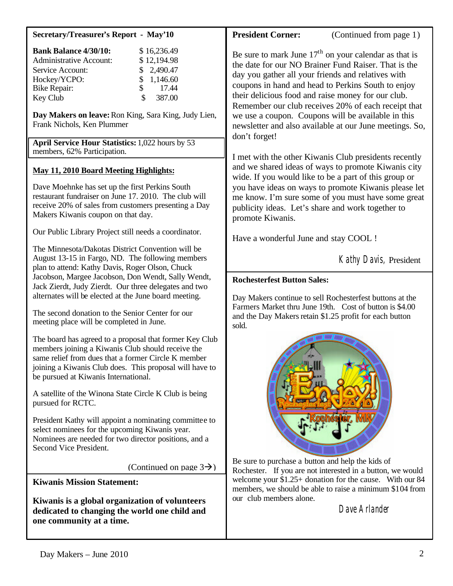| <b>Secretary/Treasurer's Report - May'10</b>                                                                                                                                                                                                                                                                                     | <b>President Corner:</b><br>(Continued from page 1)                                                                                                                                                                                                                                                                                                                                                                                                                        |  |  |
|----------------------------------------------------------------------------------------------------------------------------------------------------------------------------------------------------------------------------------------------------------------------------------------------------------------------------------|----------------------------------------------------------------------------------------------------------------------------------------------------------------------------------------------------------------------------------------------------------------------------------------------------------------------------------------------------------------------------------------------------------------------------------------------------------------------------|--|--|
| <b>Bank Balance 4/30/10:</b><br>\$16,236.49<br>\$12,194.98<br><b>Administrative Account:</b><br>2,490.47<br>Service Account:<br>1,146.60<br>Hockey/YCPO:<br>\$<br>\$<br>17.44<br>Bike Repair:<br>\$<br>387.00<br>Key Club                                                                                                        | Be sure to mark June $17th$ on your calendar as that is<br>the date for our NO Brainer Fund Raiser. That is the<br>day you gather all your friends and relatives with<br>coupons in hand and head to Perkins South to enjoy<br>their delicious food and raise money for our club.<br>Remember our club receives 20% of each receipt that<br>we use a coupon. Coupons will be available in this<br>newsletter and also available at our June meetings. So,<br>don't forget! |  |  |
| Day Makers on leave: Ron King, Sara King, Judy Lien,<br>Frank Nichols, Ken Plummer<br>April Service Hour Statistics: 1,022 hours by 53                                                                                                                                                                                           |                                                                                                                                                                                                                                                                                                                                                                                                                                                                            |  |  |
| members, 62% Participation.                                                                                                                                                                                                                                                                                                      |                                                                                                                                                                                                                                                                                                                                                                                                                                                                            |  |  |
| <b>May 11, 2010 Board Meeting Highlights:</b><br>Dave Moehnke has set up the first Perkins South<br>restaurant fundraiser on June 17, 2010. The club will<br>receive 20% of sales from customers presenting a Day<br>Makers Kiwanis coupon on that day.                                                                          | I met with the other Kiwanis Club presidents recently<br>and we shared ideas of ways to promote Kiwanis city<br>wide. If you would like to be a part of this group or<br>you have ideas on ways to promote Kiwanis please let<br>me know. I'm sure some of you must have some great<br>publicity ideas. Let's share and work together to<br>promote Kiwanis.                                                                                                               |  |  |
| Our Public Library Project still needs a coordinator.                                                                                                                                                                                                                                                                            | Have a wonderful June and stay COOL !                                                                                                                                                                                                                                                                                                                                                                                                                                      |  |  |
| The Minnesota/Dakotas District Convention will be<br>August 13-15 in Fargo, ND. The following members<br>plan to attend: Kathy Davis, Roger Olson, Chuck                                                                                                                                                                         | Kathy Davis, President                                                                                                                                                                                                                                                                                                                                                                                                                                                     |  |  |
| Jacobson, Margee Jacobson, Don Wendt, Sally Wendt,<br>Jack Zierdt, Judy Zierdt. Our three delegates and two<br>alternates will be elected at the June board meeting.                                                                                                                                                             | <b>Rochesterfest Button Sales:</b>                                                                                                                                                                                                                                                                                                                                                                                                                                         |  |  |
| The second donation to the Senior Center for our<br>meeting place will be completed in June.                                                                                                                                                                                                                                     | Day Makers continue to sell Rochesterfest buttons at the<br>Farmers Market thru June 19th. Cost of button is \$4.00<br>and the Day Makers retain \$1.25 profit for each button<br>sold.<br>Be sure to purchase a button and help the kids of<br>Rochester. If you are not interested in a button, we would<br>welcome your \$1.25+ donation for the cause. With our 84<br>members, we should be able to raise a minimum \$104 from                                         |  |  |
| The board has agreed to a proposal that former Key Club<br>members joining a Kiwanis Club should receive the<br>same relief from dues that a former Circle K member<br>joining a Kiwanis Club does. This proposal will have to<br>be pursued at Kiwanis International.<br>A satellite of the Winona State Circle K Club is being |                                                                                                                                                                                                                                                                                                                                                                                                                                                                            |  |  |
| pursued for RCTC.<br>President Kathy will appoint a nominating committee to                                                                                                                                                                                                                                                      |                                                                                                                                                                                                                                                                                                                                                                                                                                                                            |  |  |
| select nominees for the upcoming Kiwanis year.<br>Nominees are needed for two director positions, and a<br>Second Vice President.                                                                                                                                                                                                |                                                                                                                                                                                                                                                                                                                                                                                                                                                                            |  |  |
| (Continued on page $3\rightarrow$ )                                                                                                                                                                                                                                                                                              |                                                                                                                                                                                                                                                                                                                                                                                                                                                                            |  |  |
| <b>Kiwanis Mission Statement:</b>                                                                                                                                                                                                                                                                                                |                                                                                                                                                                                                                                                                                                                                                                                                                                                                            |  |  |
| Kiwanis is a global organization of volunteers<br>dedicated to changing the world one child and<br>one community at a time.                                                                                                                                                                                                      | our club members alone.<br>Dave Arlander                                                                                                                                                                                                                                                                                                                                                                                                                                   |  |  |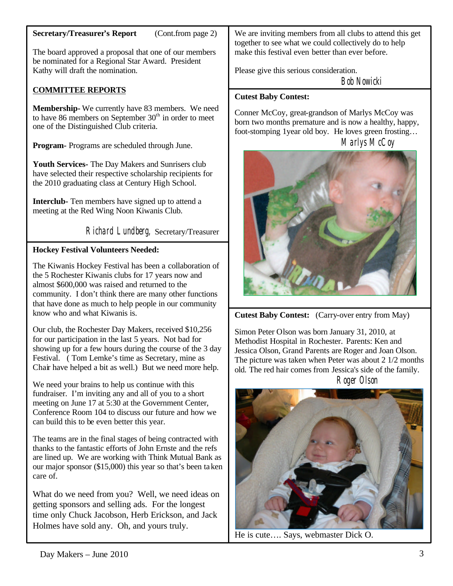## **Secretary/Treasurer's Report** (Cont.from page 2)

The board approved a proposal that one of our members be nominated for a Regional Star Award. President Kathy will draft the nomination.

# **COMMITTEE REPORTS**

**Membership-** We currently have 83 members. We need to have 86 members on September  $30<sup>th</sup>$  in order to meet one of the Distinguished Club criteria.

**Program-** Programs are scheduled through June.

**Youth Services-** The Day Makers and Sunrisers club have selected their respective scholarship recipients for the 2010 graduating class at Century High School.

**Interclub-** Ten members have signed up to attend a meeting at the Red Wing Noon Kiwanis Club.

Richard Lundberg, Secretary/Treasurer

### **Hockey Festival Volunteers Needed:**

The Kiwanis Hockey Festival has been a collaboration of the 5 Rochester Kiwanis clubs for 17 years now and almost \$600,000 was raised and returned to the community. I don't think there are many other functions that have done as much to help people in our community know who and what Kiwanis is.

Our club, the Rochester Day Makers, received \$10,256 for our participation in the last 5 years. Not bad for showing up for a few hours during the course of the 3 day Festival. ( Tom Lemke's time as Secretary, mine as Chair have helped a bit as well.) But we need more help.

We need your brains to help us continue with this fundraiser. I'm inviting any and all of you to a short meeting on June 17 at 5:30 at the Government Center, Conference Room 104 to discuss our future and how we can build this to be even better this year.

The teams are in the final stages of being contracted with thanks to the fantastic efforts of John Ernste and the refs are lined up. We are working with Think Mutual Bank as our major sponsor (\$15,000) this year so that's been taken care of.

What do we need from you? Well, we need ideas on getting sponsors and selling ads. For the longest time only Chuck Jacobson, Herb Erickson, and Jack Holmes have sold any. Oh, and yours truly.

We are inviting members from all clubs to attend this get together to see what we could collectively do to help make this festival even better than ever before.

Please give this serious consideration.

Bob Nowicki

#### **Cutest Baby Contest:**

Conner McCoy, great-grandson of Marlys McCoy was born two months premature and is now a healthy, happy, foot-stomping 1year old boy. He loves green frosting…

Marlys McCoy



**Cutest Baby Contest:** (Carry-over entry from May)

Simon Peter Olson was born January 31, 2010, at Methodist Hospital in Rochester. Parents: Ken and Jessica Olson, Grand Parents are Roger and Joan Olson. The picture was taken when Peter was about 2 1/2 months old. The red hair comes from Jessica's side of the family. Roger Olson



He is cute…. Says, webmaster Dick O.